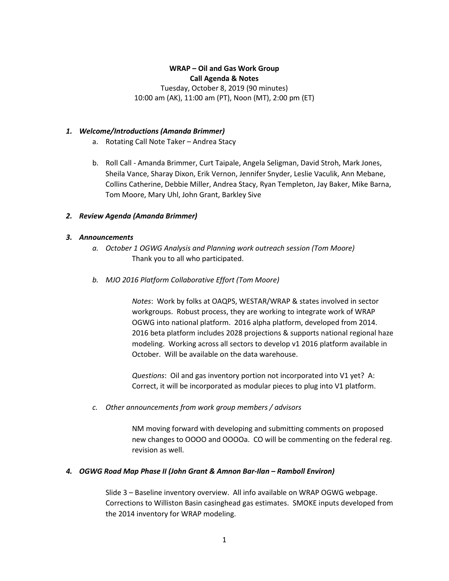# **WRAP – Oil and Gas Work Group Call Agenda & Notes**

Tuesday, October 8, 2019 (90 minutes) 10:00 am (AK), 11:00 am (PT), Noon (MT), 2:00 pm (ET)

## *1. Welcome/Introductions (Amanda Brimmer)*

- a. Rotating Call Note Taker Andrea Stacy
- b. Roll Call Amanda Brimmer, Curt Taipale, Angela Seligman, David Stroh, Mark Jones, Sheila Vance, Sharay Dixon, Erik Vernon, Jennifer Snyder, Leslie Vaculik, Ann Mebane, Collins Catherine, Debbie Miller, Andrea Stacy, Ryan Templeton, Jay Baker, Mike Barna, Tom Moore, Mary Uhl, John Grant, Barkley Sive

## *2. Review Agenda (Amanda Brimmer)*

## *3. Announcements*

- *a. October 1 OGWG Analysis and Planning work outreach session (Tom Moore)* Thank you to all who participated.
- *b. MJO 2016 Platform Collaborative Effort (Tom Moore)*

*Notes*: Work by folks at OAQPS, WESTAR/WRAP & states involved in sector workgroups. Robust process, they are working to integrate work of WRAP OGWG into national platform. 2016 alpha platform, developed from 2014. 2016 beta platform includes 2028 projections & supports national regional haze modeling. Working across all sectors to develop v1 2016 platform available in October. Will be available on the data warehouse.

*Questions*: Oil and gas inventory portion not incorporated into V1 yet? A: Correct, it will be incorporated as modular pieces to plug into V1 platform.

*c. Other announcements from work group members / advisors*

NM moving forward with developing and submitting comments on proposed new changes to OOOO and OOOOa. CO will be commenting on the federal reg. revision as well.

## *4. OGWG Road Map Phase II (John Grant & Amnon Bar-Ilan – Ramboll Environ)*

Slide 3 – Baseline inventory overview. All info available on WRAP OGWG webpage. Corrections to Williston Basin casinghead gas estimates. SMOKE inputs developed from the 2014 inventory for WRAP modeling.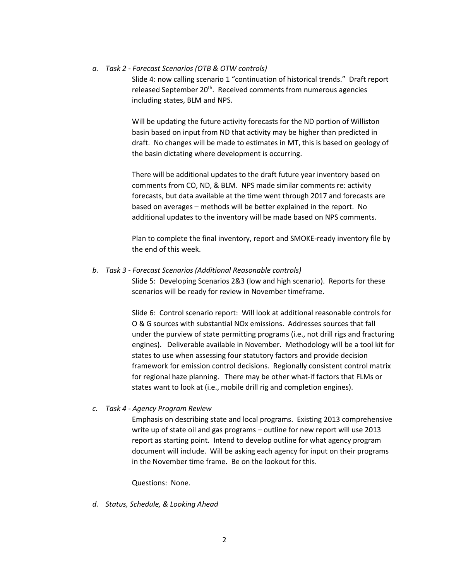### *a. Task 2 - Forecast Scenarios (OTB & OTW controls)*

Slide 4: now calling scenario 1 "continuation of historical trends." Draft report released September 20<sup>th</sup>. Received comments from numerous agencies including states, BLM and NPS.

Will be updating the future activity forecasts for the ND portion of Williston basin based on input from ND that activity may be higher than predicted in draft. No changes will be made to estimates in MT, this is based on geology of the basin dictating where development is occurring.

There will be additional updates to the draft future year inventory based on comments from CO, ND, & BLM. NPS made similar comments re: activity forecasts, but data available at the time went through 2017 and forecasts are based on averages – methods will be better explained in the report. No additional updates to the inventory will be made based on NPS comments.

Plan to complete the final inventory, report and SMOKE-ready inventory file by the end of this week.

### *b. Task 3 - Forecast Scenarios (Additional Reasonable controls)*

Slide 5: Developing Scenarios 2&3 (low and high scenario). Reports for these scenarios will be ready for review in November timeframe.

Slide 6: Control scenario report: Will look at additional reasonable controls for O & G sources with substantial NOx emissions. Addresses sources that fall under the purview of state permitting programs (i.e., not drill rigs and fracturing engines). Deliverable available in November. Methodology will be a tool kit for states to use when assessing four statutory factors and provide decision framework for emission control decisions. Regionally consistent control matrix for regional haze planning. There may be other what-if factors that FLMs or states want to look at (i.e., mobile drill rig and completion engines).

#### *c. Task 4 - Agency Program Review*

Emphasis on describing state and local programs. Existing 2013 comprehensive write up of state oil and gas programs – outline for new report will use 2013 report as starting point. Intend to develop outline for what agency program document will include. Will be asking each agency for input on their programs in the November time frame. Be on the lookout for this.

Questions: None.

*d. Status, Schedule, & Looking Ahead*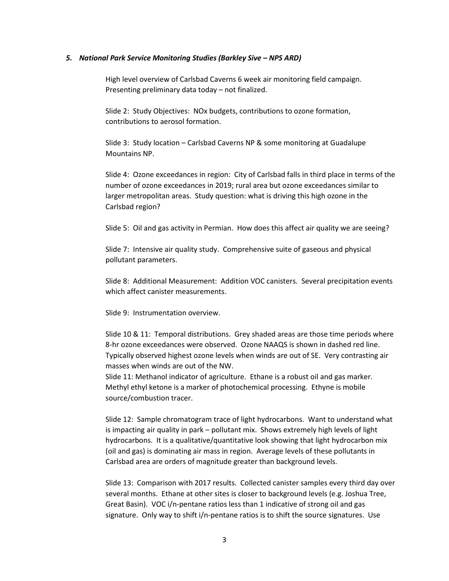#### *5. National Park Service Monitoring Studies (Barkley Sive – NPS ARD)*

High level overview of Carlsbad Caverns 6 week air monitoring field campaign. Presenting preliminary data today – not finalized.

Slide 2: Study Objectives: NOx budgets, contributions to ozone formation, contributions to aerosol formation.

Slide 3: Study location – Carlsbad Caverns NP & some monitoring at Guadalupe Mountains NP.

Slide 4: Ozone exceedances in region: City of Carlsbad falls in third place in terms of the number of ozone exceedances in 2019; rural area but ozone exceedances similar to larger metropolitan areas. Study question: what is driving this high ozone in the Carlsbad region?

Slide 5: Oil and gas activity in Permian. How does this affect air quality we are seeing?

Slide 7: Intensive air quality study. Comprehensive suite of gaseous and physical pollutant parameters.

Slide 8: Additional Measurement: Addition VOC canisters. Several precipitation events which affect canister measurements.

Slide 9: Instrumentation overview.

Slide 10 & 11: Temporal distributions. Grey shaded areas are those time periods where 8-hr ozone exceedances were observed. Ozone NAAQS is shown in dashed red line. Typically observed highest ozone levels when winds are out of SE. Very contrasting air masses when winds are out of the NW.

Slide 11: Methanol indicator of agriculture. Ethane is a robust oil and gas marker. Methyl ethyl ketone is a marker of photochemical processing. Ethyne is mobile source/combustion tracer.

Slide 12: Sample chromatogram trace of light hydrocarbons. Want to understand what is impacting air quality in park – pollutant mix. Shows extremely high levels of light hydrocarbons. It is a qualitative/quantitative look showing that light hydrocarbon mix (oil and gas) is dominating air mass in region. Average levels of these pollutants in Carlsbad area are orders of magnitude greater than background levels.

Slide 13: Comparison with 2017 results. Collected canister samples every third day over several months. Ethane at other sites is closer to background levels (e.g. Joshua Tree, Great Basin). VOC i/n-pentane ratios less than 1 indicative of strong oil and gas signature. Only way to shift i/n-pentane ratios is to shift the source signatures. Use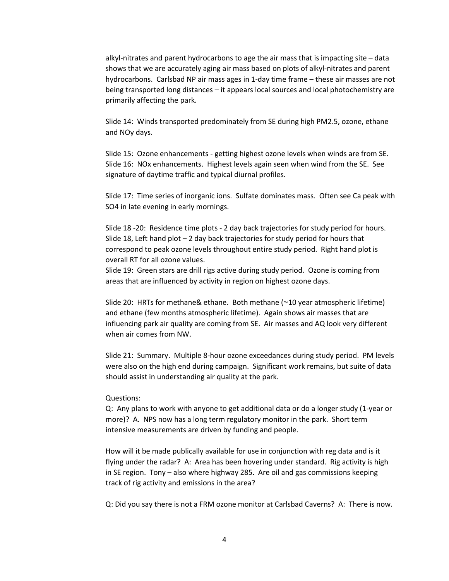alkyl-nitrates and parent hydrocarbons to age the air mass that is impacting site – data shows that we are accurately aging air mass based on plots of alkyl-nitrates and parent hydrocarbons. Carlsbad NP air mass ages in 1-day time frame – these air masses are not being transported long distances – it appears local sources and local photochemistry are primarily affecting the park.

Slide 14: Winds transported predominately from SE during high PM2.5, ozone, ethane and NOy days.

Slide 15: Ozone enhancements - getting highest ozone levels when winds are from SE. Slide 16: NOx enhancements. Highest levels again seen when wind from the SE. See signature of daytime traffic and typical diurnal profiles.

Slide 17: Time series of inorganic ions. Sulfate dominates mass. Often see Ca peak with SO4 in late evening in early mornings.

Slide 18 -20: Residence time plots - 2 day back trajectories for study period for hours. Slide 18, Left hand plot – 2 day back trajectories for study period for hours that correspond to peak ozone levels throughout entire study period. Right hand plot is overall RT for all ozone values.

Slide 19: Green stars are drill rigs active during study period. Ozone is coming from areas that are influenced by activity in region on highest ozone days.

Slide 20: HRTs for methane& ethane. Both methane (~10 year atmospheric lifetime) and ethane (few months atmospheric lifetime). Again shows air masses that are influencing park air quality are coming from SE. Air masses and AQ look very different when air comes from NW.

Slide 21: Summary. Multiple 8-hour ozone exceedances during study period. PM levels were also on the high end during campaign. Significant work remains, but suite of data should assist in understanding air quality at the park.

#### Questions:

Q: Any plans to work with anyone to get additional data or do a longer study (1-year or more)? A. NPS now has a long term regulatory monitor in the park. Short term intensive measurements are driven by funding and people.

How will it be made publically available for use in conjunction with reg data and is it flying under the radar? A: Area has been hovering under standard. Rig activity is high in SE region. Tony – also where highway 285. Are oil and gas commissions keeping track of rig activity and emissions in the area?

Q: Did you say there is not a FRM ozone monitor at Carlsbad Caverns? A: There is now.